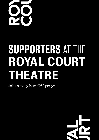

# SUPPORTERS AT THE ROYAL COURT THEATRE

Join us today from £250 per year

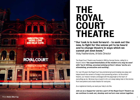

## THE ROYAL COURT THEATRE

Our task is to look forward – to seek out the "new, to fight for the voices yet to be heard and to change theatre in ways which we cannot yet even know." Vicky Featherstone, Artistic Director

The Royal Court Theatre was founded in 1956 by George Devine, calling for a theatre where 'the experimentalists of the modern era may be seen' with 'hard-hitting, uncompromising writers' whose 'works are stimulating, provocative and exciting'.

For over 60 years the Royal Court has premiered ground-breaking new plays and helped launch the careers of today's most pioneering writers. As the writers' theatre, our mission remains unchanged with the playwright at the heart of everything we do. We know how crucial it is for us to keep taking risks to find stories from everywhere and create theatre for everyone.

As a registered charity, we need your help to do this.

Join us as a Supporter and be a part of the Royal Court Theatre as we continue to seek out, develop and nurture new voices together.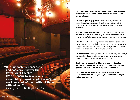By joining us as a Supporter today, you will play a crucial part in the Royal Court's work and future, both on and off our stages:

ON STAGE - providing a platform for undiscovered, emerging and established writers to develop their work for our stages, creating provocative theatre that inspires audiences and questions the world around us.

WRITER DEVELOPMENT - reading over 2,500 scripts and nurturing hundreds of writers each year through our unique writer development programmes to find, cultivate and encourage tomorrow's game-changers.

**PARTICIPATION** - empowering the next generation of theatre makers through our projects for, and with, young people, giving them opportunities to experiment, question and innovate, and reaching hundreds of people through our radical grass-roots community activities.

INTERNATIONAL - working in over 70 countries, in 30 languages through our ground-breaking international work, inspiring writers beyond our borders to address subjects that feel urgent to us all.

Each year, to keep doing this work, we need to raise £1.5 million in addition to our Arts Council England core grant and ticket sales. Your support is vital to us.

By joining us, we'll find ways to thank you for your incredible commitment, giving you opportunities to get to know us better.

Our Supporters' generosity "and passion empower the Royal Court Theatre. It's an honour to have such an incredible group of people backing our work, we couldn't do it without them, without you." Anthony Burton CBE, Royal Court Chair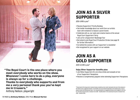

The Royal Court is the one place where you "meet everybody who works on the show. Whenever I come here to do a play, everyone is always up for a challenge.

#### Thanks to everybody who supports and from me a very personal thank you: you've kept me in trousers."

Anthony Neilson, playwright

### JOIN AS A SILVER SUPPORTER

£250–£499 a year\*

- Receive Supporters' Priority Booking
- Get insider knowledge about our work from our artistic team with invitations to Season Launch Events
- Celebrate with us, our casts and creative teams at the annual Royal Court Supporters' Party
- Join us for a Supporters' Backstage Tour
- Be invited to join Royal Court Production Circles (see page 16 for further information)
- Go behind the scenes with our Supporters' e-newsletter
- Be recognised for your support on our website

### JOIN AS A GOLD SUPPORTER

£500–£1,499 a year\*

#### Enjoy Silver Supporter benefits plus:

- Join fellow Supporters for pre-show drinks and canapés at two of our Supporters' Receptions
- Receive a complimentary playtext when attending Supporters' Receptions

\*These levels of the Supporters' scheme include a benefits portion which represents the cost of the scheme to the theatre and a suggested donation. The benefits can be purchased separately at the stated price; to do so, please contact the Development team. The remaining balance is a suggested donation and is eligible for Gift Aid. For the Silver level the split is: Donation from £160 – Benefits £90. For the Gold level the split is: Donation from £340 – Benefits £160.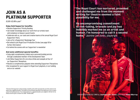### JOIN AS A PLATINUM SUPPORTER

£1,500–£2,499 a year\*

#### Enjoy Gold Supporter benefits:

- Receive Supporters' Priority Booking
- Get insider knowledge about our work from our artistic team with invitations to Season Launch Events
- Celebrate with us, our casts and creative teams at the annual Royal Court Supporters' Party
- Join us for a Supporters' Backstage Tour
- Be invited to join Royal Court Production Circles (see page 16 for further information)
- Go behind the scenes with our Supporters' e-newsletter

#### And some additional special benefits:

- Enjoy eight complimentary tickets and a personal booking service through a dedicated member of the Development Team
- Join fellow Supporters for pre-show drinks and canapés at four of our Supporters' Receptions
- Receive a complimentary playtext when attending Supporters' Receptions
- Be recognised for your support in Royal Court playtexts, in our building and on our website

The Royal Court has nurtured, provoked and challenged me from the moment writing for theatre seemed a faint possibility for me. "

Its uncompromising commitment to risk-taking, bravado and joy has indelibly marked me as an artist and human. I'm honoured to call it a second home." Jasmine Lee-Jones, playwright

\*This level of the Supporters' scheme includes a benefits portion which represents the cost of the scheme to the theatre and a suggested donation. The benefits can be purchased separately at the stated price; to do so, please contact the Development team. The remaining balance is a suggested donation and is eligible for Gift Aid. For the Platinum level the split is: Donation from £850 – Benefits £650.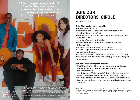"I feel like people my age don't often feel that their voice matters, but I know when I am at the Royal Court, mine does." Participation project contributor

HEARTBAND was part of the Royal Court's online LIVING NEWSPAPER, EDITION 7: THE LAST WORD. Edition 7 by a group of young people aged 14–21 who worked together as part of a writers' group led by our Participation department.

PNOTO **HeIen MUPPAV** each with the explicit aim of developing a deeper relationship with the Royal Court. The Participation department curates and delivers a programme of work for young people and community groups, creating artistically ambitious collaborations with the Royal Court's season of work. The department provides an insight into theatre through workshops, residencies and event

HEARTBAND by

Tyreke Leslie, 2021 Photo Helen Murray

### JOIN OUR DIRECTORS' CIRCLE

£2,500–£4,999 a year\*

#### Enjoy Platinum Supporter benefits:

- Receive Supporters' Priority Booking
- Get insider knowledge about our work from our artistic team with invitations to Season Launch Events
- Celebrate with us, our casts and creative teams at the annual Royal Court Supporters' Party
- Join us for a Supporters' Backstage Tour
- Be invited to join Royal Court Production Circles (see page 16 for further information)
- Go behind the scenes with our Supporters' e-newsletter
- Join fellow Supporters for pre-show drinks and canapés at four of our Supporters' Receptions
- Receive a complimentary playtext when attending Supporters' Receptions
- Be recognised for your support in Royal Court playtexts, in our building and on our website

#### And some additional special benefits:

- Enjoy 10 complimentary tickets and a personal booking service through a dedicated member of the Development Team, including access to sold-out performances
- Attend a Supporters' Script meeting to find out how the Royal Court's Literary team work with writers, develop plays and help programme our seasons
- Gain insight and access to all aspects of our work with unique events including Q&As with our artistic team, set tours and other special invitations (extra cost may apply)

\*This level of the Supporters' scheme includes a benefits portion which represents the cost of the scheme to the theatre and a suggested donation. The benefits can be purchased separately at the stated price; to do so, please contact the Development team. The remaining balance is a suggested donation and is eligible for Gift Aid. For the Directors' Circle the split is: Donation from £1,740 – Benefits £760.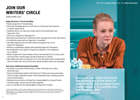£5,000–£9,999 a year\*

#### Enjoy Directors' Circle benefits:

- Receive Supporters' Priority Booking
- Get insider knowledge about our work from our artistic team with invitations to Season Launch Events
- Celebrate with us, our casts and creative teams at the annual Royal Court Supporters' Party
- Join us for a Supporters' Backstage Tour
- Be invited to join Royal Court Production Circles (see page 16 for further information)
- Go behind the scenes with our Supporters' e-newsletter
- Join fellow Supporters for pre-show drinks and canapés at four of our Supporters' Receptions
- Receive a complimentary playtext when attending Supporters' Receptions
- Be recognised for your support in Royal Court playtexts, in our building and on our website
- Attend a Supporters' Script meeting to find out how the Royal Court's Literary team work with writers, develop plays and help programme our seasons
- Gain insight and access to all aspects of our work with unique events including Q&As with our artistic team, set tours and other special invitations (extra cost may apply)

#### And some additional special benefits:

- Be invited to our annual Artistic Director's Dinner with Royal Court writers and artistic team
- Enjoy 12 complimentary tickets at the Royal Court Theatre and a personal booking service through a dedicated member of the Development Team, including access to sold-out performances
- Celebrate new work with us at Royal Court Opening Nights for Jerwood Theatre Downstairs plays, with pre and post-show receptions
- Join us in the West End for Opening Nights of Royal Court transfers

\*This level of the Supporters' scheme includes a benefits portion which represents the cost of the scheme to the theatre and a suggested donation. The benefits can be purchased separately at the stated price; to do so, please contact the Development team. The remaining balance is a suggested donation and is eligible for Gift Aid. For the Directors' Circle the split is: Donation from £3,800 – Benefits £1,200.



Everyone talks about how much "the writers are at the heart of what they do, but the Royal Court really means it, it's written into the theatre's DNA." Dennis Kelly, playwright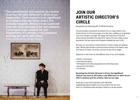The commitment and passion we receive "from our Artistic Director's Circle is an inspiration. Their support is so significant to a theatre like the Royal Court, it's actually tangible. Without it we could not take the risks necessary for our success. I have such huge respect for our Supporters, it's always a real pleasure sharing our work with them. Vicky Featherstone, Artistic Director





### JOIN OUR ARTISTIC DIRECTOR'S **CIRCLE**

Recognising and celebrating gifts of £10,000 and above

The extraordinary commitment we receive from our major donors in the Artistic Director's Circle encourages us to take risks, enabling our programmes to go from strength to strength. We engage with Supporters at this level whose interest and belief in the Royal Court leads us forward, helps us push boundaries, find new voices and bring game-changing new work to life.

We share our work with our Artistic Director's Circle in unique and bespoke ways, offering opportunities to become further involved at the theatre, learn more about our teams, the artists, and work on and off our stages.

Supporters in this Circle can fund different areas of our work including:

- Writers' commissions
- International projects
- Participation work with young people and community groups
- Key posts at the theatre
- Productions

By joining the Artistic Director's Circle, the significant support you lend us will make a real difference to what we are able to achieve and the artistic risks we can take.

Please get in touch with Anuja Batra (020 7565 5049; anujabatra@royalcourttheatre.com) if you'd like to find out more about our fundraising needs and ways in which you can get involved.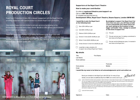### ROYAL COURT PRODUCTION CIRCLES

Royal Court Production Circles offer a deeper engagement with the Royal Court by providing Supporters with special access to a chosen Royal Court production.

Only existing Supporters are invited to join and can do so by donating to the Production Circle at the level of their choice. We aim to offer at least one Production Circle in each of our seasons.

These are unique opportunities to go behind the scenes at the Royal Court and follow a particular play from page to stage. Past Royal Court Production Circles have included invitations to a rehearsal, lunch with the play's director and writer, on-stage set tours and a designer studio visit.



#### Supporters at the Royal Court Theatre

How to make your contribution

Go online at royalcourttheatre.com/support-us Call us on 020 7565 5060 Or complete and send this form to: Development Office, Royal Court Theatre, Sloane Square, London SW1W 8AS

I would like to join the Royal Court at the following level:

Silver £250–£499 per year

Gold £500–£1,499 per year

Platinum £1,500–£2,499 per year

Directors' Circle £2,500–£4,999 per year

Writers' Circle £5,000–£9,999 per year

Artistic Director's Circle from £10,000 per year

I would like to make a donation of £ ............. to support new writing at Royal Court Theatre.

#### My details

I would like my name to be listed on all acknowledgements (print and online) as:

Boost your donation to the Royal Court with Gift Aid. For every £1 you donate, we can claim an additional 25p from HMRC at no extra cost to you.

giftaid it

By pledging to support the Royal Court for more than one year, you will help us build a more sustainable and robust future for our work, giving us the freedom to take bigger and bolder risks. I pledge to commit

This year and next year, I'm making a commitment to

This year and the following two years, I'm invested in

to this level of support for:

new voices at the Royal Court.

new voices at the Royal Court.

This year.

I want to Gift Aid this donation and any donations I make in the future or have made in the past 4 years to The English Stage Company Ltd. I am a UK taxpayer and understand that if I pay less Income Tax and/or Capital Gains Tax than the amount of Gift Aid claimed on all my donations in that tax year it is my responsibility to pay any difference.

Please notify the Royal Court Theatre if you want to cancel this declaration, change your name or home address or no longer pay sufficient tax on your income and/or capital gains. If you pay Income Tax at the higher or additional rate and want to receive the additional tax relief due to you, you must include all your Gift Aid donations on your Self-Assessment tax return or ask HM Revenue and Customs to adjust your tax code.

I cannot Gift Aid this donation.

Signature: Date: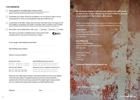#### I am paying by

Cheque payable to The English Stage Company Limited. (If you would like to donate by Charities Aid Foundation cheque, please note the benefits portion of our Supporters' schemes must be paid by separate personal cheque or credit/debit card.)

Credit/debit card, please contact me by telephone. You can choose to make a one-off annual payment or set-up a recurring payment using your preferred card.

A contribution in US dollars. Please send me further information about The Chapel & York US Foundation. US taxpayers can donate in US dollars online, by cheque or wire transfer. (Please note the benefits portion of our Supporters' schemes must be paid by separate personal cheque or credit/debit card.)

Direct Debit, see my details below. I wish to pay:  $\Box$  annually  $\Box$  quarterly  $\Box$  monthly

Instruction to your Bank or Building Society to Pay by Direct Debit. Complete this form and mail to the Royal Court Theatre.



To the manager (Bank/Building Society Name)

Bank/Building Society Address

Name(s) of account holder(s)

| Branch Sort Code | Bank/Build          |  |
|------------------|---------------------|--|
|                  | <u> AN AN AN AN</u> |  |
|                  |                     |  |



 $\boxed{4}$   $\boxed{1}$   $\boxed{2}$   $\boxed{5}$   $\boxed{5}$   $\boxed{9}$ 

Please pay The English Stage Company Limited Direct Debits from the account detailed in this instruction subject to safeguards assured by the Direct Debit Guarantee. I understand that this instruction may remain with The English Stage Company Limited and, if so, details will be passed electronically to my Bank/Building Society.

Signature: Date:

We're always happy to tell you more about the work we do on and off our stages. Please get in touch if there's an area of our work you'd like to hear more about.

To get in touch about joining us as a Supporter, leaving a gift in your will or making a donation, please contact the Development team:

Anuja Batra Head of Individual Giving anujabatra@royalcourttheatre.com 020 7565 5049

Amy Millward Individual Giving Manager amymillward@royalcourttheatre.com 020 7565 5060

Royal Court Theatre Sloane Square London SW1W 8AS

royalcourttheatre.com/support-us

<u>listered charity numbe</u>